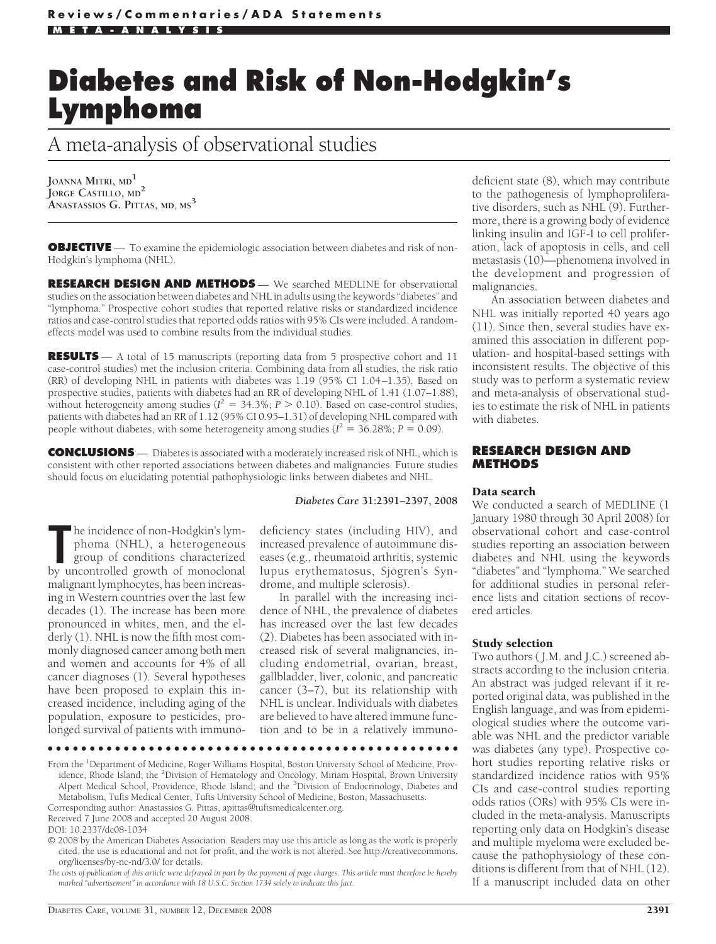# **Diabetes and Risk of Non-Hodgkin's Lymphoma**

A meta-analysis of observational studies

**JOANNA MITRI, MD<sup>1</sup> JORGE CASTILLO, MD<sup>2</sup> ANASTASSIOS G. PITTAS, MD, MS<sup>3</sup>**

**OBJECTIVE** — To examine the epidemiologic association between diabetes and risk of non-Hodgkin's lymphoma (NHL).

**RESEARCH DESIGN AND METHODS** — We searched MEDLINE for observational studies on the association between diabetes and NHL in adults using the keywords "diabetes" and "lymphoma." Prospective cohort studies that reported relative risks or standardized incidence ratios and case-control studies that reported odds ratios with 95% CIs were included. A randomeffects model was used to combine results from the individual studies.

**RESULTS** — A total of 15 manuscripts (reporting data from 5 prospective cohort and 11 case-control studies) met the inclusion criteria. Combining data from all studies, the risk ratio (RR) of developing NHL in patients with diabetes was 1.19 (95% CI 1.04–1.35). Based on prospective studies, patients with diabetes had an RR of developing NHL of 1.41 (1.07–1.88), without heterogeneity among studies ( $I^2 = 34.3\%$ ;  $P > 0.10$ ). Based on case-control studies, patients with diabetes had an RR of 1.12 (95% CI 0.95–1.31) of developing NHL compared with people without diabetes, with some heterogeneity among studies ( $I^2 = 36.28\%$ ;  $P = 0.09$ ).

**CONCLUSIONS** — Diabetes is associated with a moderately increased risk of NHL, which is consistent with other reported associations between diabetes and malignancies. Future studies should focus on elucidating potential pathophysiologic links between diabetes and NHL.

#### *Diabetes Care* **31:2391–2397, 2008**

The incidence of non-Hodgkin's lymphoma (NHL), a heterogeneous group of conditions characterized by uncontrolled growth of monoclonal he incidence of non-Hodgkin's lymphoma (NHL), a heterogeneous group of conditions characterized malignant lymphocytes, has been increasing in Western countries over the last few decades (1). The increase has been more pronounced in whites, men, and the elderly (1). NHL is now the fifth most commonly diagnosed cancer among both men and women and accounts for 4% of all cancer diagnoses (1). Several hypotheses have been proposed to explain this increased incidence, including aging of the population, exposure to pesticides, prolonged survival of patients with immuno-

deficiency states (including HIV), and increased prevalence of autoimmune diseases (e.g., rheumatoid arthritis, systemic lupus erythematosus, Sjögren's Syndrome, and multiple sclerosis).

In parallel with the increasing incidence of NHL, the prevalence of diabetes has increased over the last few decades (2). Diabetes has been associated with increased risk of several malignancies, including endometrial, ovarian, breast, gallbladder, liver, colonic, and pancreatic cancer (3–7), but its relationship with NHL is unclear. Individuals with diabetes are believed to have altered immune function and to be in a relatively immuno-

●●●●●●●●●●●●●●●●●●●●●●●●●●●●●●●●●●●●●●●●●●●●●●●●●

From the <sup>1</sup>Department of Medicine, Roger Williams Hospital, Boston University School of Medicine, Providence, Rhode Island; the <sup>2</sup>Division of Hematology and Oncology, Miriam Hospital, Brown University Alpert Medical School, Providence, Rhode Island; and the <sup>3</sup>Division of Endocrinology, Diabetes and Metabolism, Tufts Medical Center, Tufts University School of Medicine, Boston, Massachusetts. Corresponding author: Anastassios G. Pittas, apittas@tuftsmedicalcenter.org.

Received 7 June 2008 and accepted 20 August 2008.

© 2008 by the American Diabetes Association. Readers may use this article as long as the work is properly cited, the use is educational and not for profit, and the work is not altered. See http://creativecommons. org/licenses/by-nc-nd/3.0/ for details.

*The costs of publication of this article were defrayed in part by the payment of page charges. This article must therefore be hereby marked "advertisement" in accordance with 18 U.S.C. Section 1734 solely to indicate this fact.*

deficient state (8), which may contribute to the pathogenesis of lymphoproliferative disorders, such as NHL (9). Furthermore, there is a growing body of evidence linking insulin and IGF-I to cell proliferation, lack of apoptosis in cells, and cell metastasis (10)—phenomena involved in the development and progression of malignancies.

An association between diabetes and NHL was initially reported 40 years ago (11). Since then, several studies have examined this association in different population- and hospital-based settings with inconsistent results. The objective of this study was to perform a systematic review and meta-analysis of observational studies to estimate the risk of NHL in patients with diabetes.

#### **RESEARCH DESIGN AND METHODS**

#### Data search

We conducted a search of MEDLINE (1 January 1980 through 30 April 2008) for observational cohort and case-control studies reporting an association between diabetes and NHL using the keywords "diabetes" and "lymphoma." We searched for additional studies in personal reference lists and citation sections of recovered articles.

#### Study selection

Two authors ( J.M. and J.C.) screened abstracts according to the inclusion criteria. An abstract was judged relevant if it reported original data, was published in the English language, and was from epidemiological studies where the outcome variable was NHL and the predictor variable was diabetes (any type). Prospective cohort studies reporting relative risks or standardized incidence ratios with 95% CIs and case-control studies reporting odds ratios (ORs) with 95% CIs were included in the meta-analysis. Manuscripts reporting only data on Hodgkin's disease and multiple myeloma were excluded because the pathophysiology of these conditions is different from that of NHL (12). If a manuscript included data on other

DOI: 10.2337/dc08-1034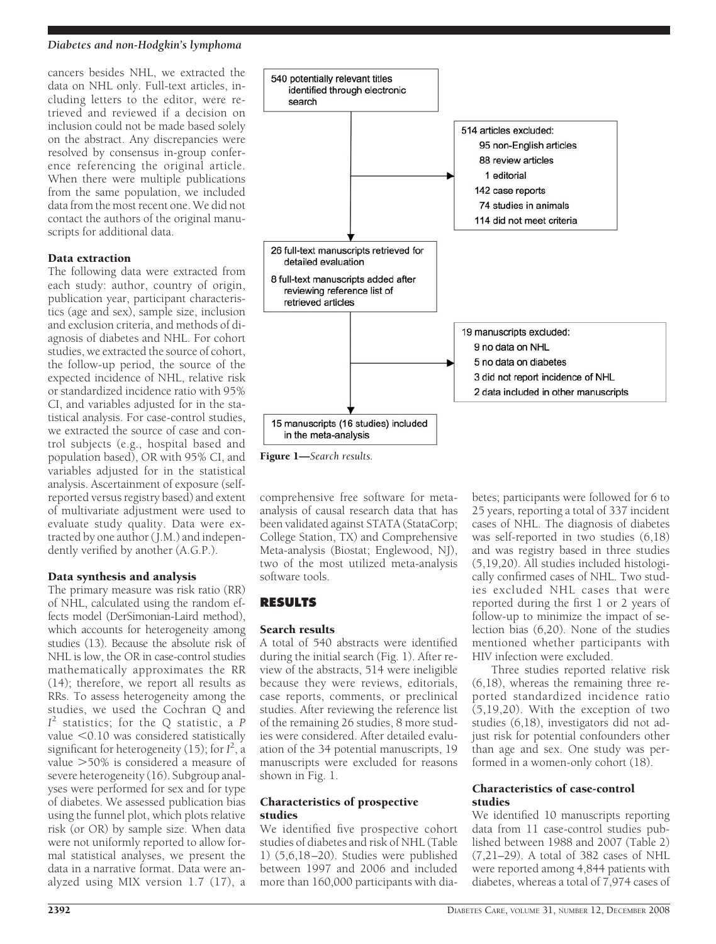#### *Diabetes and non-Hodgkin's lymphoma*

cancers besides NHL, we extracted the data on NHL only. Full-text articles, including letters to the editor, were retrieved and reviewed if a decision on inclusion could not be made based solely on the abstract. Any discrepancies were resolved by consensus in-group conference referencing the original article. When there were multiple publications from the same population, we included data from the most recent one. We did not contact the authors of the original manuscripts for additional data.

## Data extraction

The following data were extracted from each study: author, country of origin, publication year, participant characteristics (age and sex), sample size, inclusion and exclusion criteria, and methods of diagnosis of diabetes and NHL. For cohort studies, we extracted the source of cohort, the follow-up period, the source of the expected incidence of NHL, relative risk or standardized incidence ratio with 95% CI, and variables adjusted for in the statistical analysis. For case-control studies, we extracted the source of case and control subjects (e.g., hospital based and population based), OR with 95% CI, and variables adjusted for in the statistical analysis. Ascertainment of exposure (selfreported versus registry based) and extent of multivariate adjustment were used to evaluate study quality. Data were extracted by one author (J.M.) and independently verified by another (A.G.P.).

# Data synthesis and analysis

The primary measure was risk ratio (RR) of NHL, calculated using the random effects model (DerSimonian-Laird method), which accounts for heterogeneity among studies (13). Because the absolute risk of NHL is low, the OR in case-control studies mathematically approximates the RR (14); therefore, we report all results as RRs. To assess heterogeneity among the studies, we used the Cochran Q and *I* <sup>2</sup> statistics; for the Q statistic, a *P* value  $< 0.10$  was considered statistically significant for heterogeneity (15); for *I* 2 , a value -50% is considered a measure of severe heterogeneity (16). Subgroup analyses were performed for sex and for type of diabetes. We assessed publication bias using the funnel plot, which plots relative risk (or OR) by sample size. When data were not uniformly reported to allow formal statistical analyses, we present the data in a narrative format. Data were analyzed using MIX version 1.7 (17), a



Figure 1—*Search results.*

comprehensive free software for metaanalysis of causal research data that has been validated against STATA (StataCorp; College Station, TX) and Comprehensive Meta-analysis (Biostat; Englewood, NJ), two of the most utilized meta-analysis software tools.

# **RESULTS**

# Search results

A total of 540 abstracts were identified during the initial search (Fig. 1). After review of the abstracts, 514 were ineligible because they were reviews, editorials, case reports, comments, or preclinical studies. After reviewing the reference list of the remaining 26 studies, 8 more studies were considered. After detailed evaluation of the 34 potential manuscripts, 19 manuscripts were excluded for reasons shown in Fig. 1.

#### Characteristics of prospective studies

We identified five prospective cohort studies of diabetes and risk of NHL (Table 1) (5,6,18–20). Studies were published between 1997 and 2006 and included more than 160,000 participants with dia-

betes; participants were followed for 6 to 25 years, reporting a total of 337 incident cases of NHL. The diagnosis of diabetes was self-reported in two studies (6,18) and was registry based in three studies (5,19,20). All studies included histologically confirmed cases of NHL. Two studies excluded NHL cases that were reported during the first 1 or 2 years of follow-up to minimize the impact of selection bias (6,20). None of the studies mentioned whether participants with HIV infection were excluded.

Three studies reported relative risk (6,18), whereas the remaining three reported standardized incidence ratio  $(5,19,20)$ . With the exception of two studies (6,18), investigators did not adjust risk for potential confounders other than age and sex. One study was performed in a women-only cohort (18).

#### Characteristics of case-control studies

We identified 10 manuscripts reporting data from 11 case-control studies published between 1988 and 2007 (Table 2) (7,21–29). A total of 382 cases of NHL were reported among 4,844 patients with diabetes, whereas a total of 7,974 cases of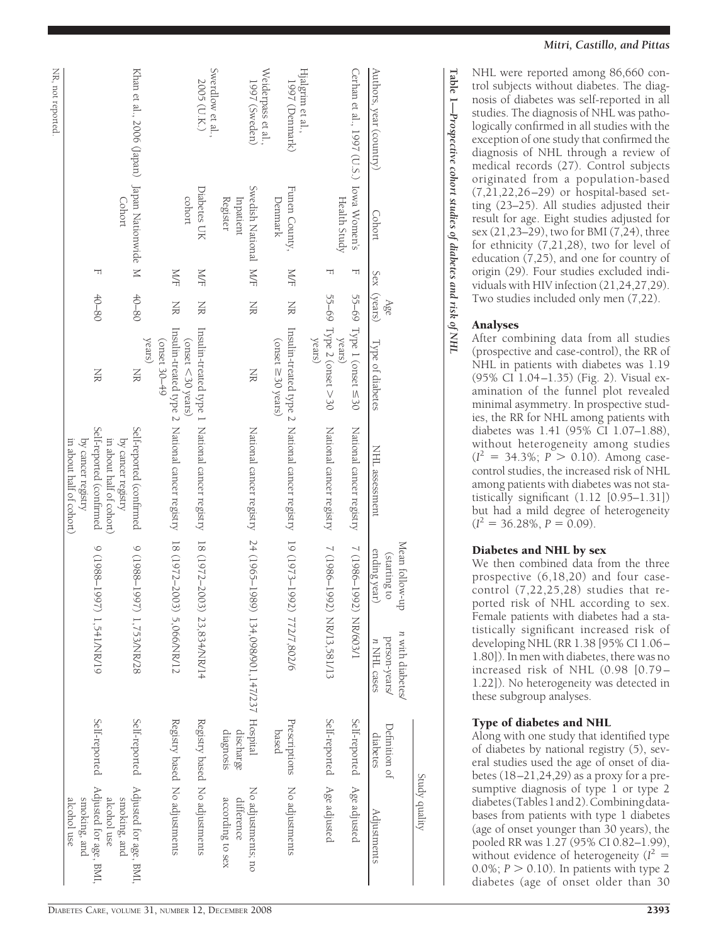|                                              |                          |            |                    |                                                |                                                                            |                                                |                                                  |                            | Study quality                       |
|----------------------------------------------|--------------------------|------------|--------------------|------------------------------------------------|----------------------------------------------------------------------------|------------------------------------------------|--------------------------------------------------|----------------------------|-------------------------------------|
| Authors, year (country)                      | Cohort                   |            | Sex (years)<br>Age | Type of diabetes                               | NHL assessment                                                             | Mean follow-up<br>ending year)<br>(starting to | n with diabetes/<br>person-years/<br>n NHL cases | Definition of<br>diabetes  | Adjustments                         |
| Cerhan et al., 1997 (U.S.) Iowa Women's      |                          | T          |                    | 55–69 Type 1 (onset $\leq$ 30                  | National cancer registry                                                   | 7 (1986-1992)                                  | NR/603/1                                         | Self-reported              | Age adjusted                        |
|                                              | Health Study             | ᆔ          |                    | 55-69 Type 2 (onset $>$ 30<br>years)<br>years) | National cancer registry                                                   | 7 (1986–1992) NR/13,581/13                     |                                                  | Self-reported Age adjusted |                                     |
| Hjalgrim et al.,                             |                          |            |                    |                                                |                                                                            |                                                |                                                  |                            |                                     |
| 1997 (Denmark)                               | Funen County,<br>Denmark | <b>N/F</b> | NR                 | (onset $\geq$ 30 years)                        | Insulin-treated type 2 National cancer registry 19 (1973-1992)             |                                                | 772/7,802/6                                      | Prescriptions<br>based     | No adjustments                      |
| Weiderpass et al.,<br>1997 (Sweden)          | Swedish National MF      |            | XR                 | XK                                             | National cancer registry 24 (1965–1989)                                    |                                                | 134,098/901,147/237 Hospital                     |                            | No adjustments; no                  |
|                                              | Register<br>Inpatient    |            |                    |                                                |                                                                            |                                                |                                                  | diagnosis<br>discharge     | according to sex<br>difference      |
| Swerdlow et al.,                             |                          |            |                    |                                                |                                                                            |                                                |                                                  |                            |                                     |
| 2005 (U.K.)                                  | Diabetes UK<br>cohort    | <b>N/F</b> | NR                 | (onset <30 years)                              | Insulin-treated type 1 National cancer registry 18 (1972-2003)             |                                                | 23,834/NR/14                                     |                            | Registry based No adjustments       |
|                                              |                          | <b>N/F</b> | XK                 | (onset 30-49                                   | Insulin-treated type 2 National cancer registry 18 (1972–2003) 5,066/NR/12 |                                                |                                                  |                            | Registry based No adjustments       |
|                                              |                          |            |                    | years)                                         |                                                                            |                                                |                                                  |                            |                                     |
| Khan et al., 2006 (Japan) Japan Nationwide M |                          |            | $40 - 80$          | XK                                             | Self-reported (confirmed                                                   | $(1088-136)$                                   | 1,753/NR/28                                      |                            | Self-reported Adjusted for age, BMI |
|                                              | Cohort                   |            |                    |                                                | in about half of cohort)<br>by cancer registry                             |                                                |                                                  |                            | alcohol use<br>smoking, and         |
|                                              |                          | ᅱ          | $40 - 80$          | NR                                             | Self-reported (confirmed                                                   | 7088-1997                                      | 1,541/NR/19                                      | Self-reported              | Adjusted for age, BMI               |
|                                              |                          |            |                    |                                                | by cancer registry                                                         |                                                |                                                  |                            | smoking, and                        |
|                                              |                          |            |                    |                                                | in about half of cohord)                                                   |                                                |                                                  |                            | alcohol use                         |
| NR, not reported.                            |                          |            |                    |                                                |                                                                            |                                                |                                                  |                            |                                     |

NHL were reported among 86,660 control subjects without diabetes. The diagnosis of diabetes was self-reported in all studies. The diagnosis of NHL was pathologically confirmed in all studies with the exception of one study that confirmed the diagnosis of NHL through a review of medical records (27). Control subjects originated from a population-based (7,21,22,26–29) or hospital-based setting (23–25). All studies adjusted their result for age. Eight studies adjusted for sex (21,23–29), two for BMI (7,24), three for ethnicity (7,21,28), two for level of education (7,25), and one for country of origin (29). Four studies excluded individuals with HIV infection (21,24,27,29). Two studies included only men (7,22).

# Analyses

**Table** 

**1—***Prospective*

 *cohort*

 *studies of*

 *diabetes*

 *and risk of*

 *NHL*

After combining data from all studies (prospective and case-control), the RR of NHL in patients with diabetes was 1.19 (95% CI 1.04–1.35) (Fig. 2). Visual examination of the funnel plot revealed minimal asymmetry. In prospective studies, the RR for NHL among patients with diabetes was 1.41 (95% CI 1.07–1.88), without heterogeneity among studies  $(I^2 = 34.3\%; P > 0.10)$ . Among casecontrol studies, the increased risk of NHL among patients with diabetes was not statistically significant (1.12 [0.95–1.31]) but had a mild degree of heterogeneity  $(I^2 = 36.28\%, P = 0.09).$ 

## Diabetes and NHL by sex

We then combined data from the three prospective (6,18,20) and four casecontrol (7,22,25,28) studies that reported risk of NHL according to sex. Female patients with diabetes had a statistically significant increased risk of developing NHL (RR 1.38 [95% CI 1.06– 1.80]). In men with diabetes, there was no increased risk of NHL (0.98 [0.79– 1.22]). No heterogeneity was detected in these subgroup analyses.

## Type of diabetes and NHL

Along with one study that identified type of diabetes by national registry (5), several studies used the age of onset of diabetes (18–21,24,29) as a proxy for a presumptive diagnosis of type 1 or type 2 diabetes(Tables1and2).Combiningdatabases from patients with type 1 diabetes (age of onset younger than 30 years), the pooled RR was 1.27 (95% CI 0.82–1.99), without evidence of heterogeneity  $(I^2 =$  $0.0\%$ ;  $P > 0.10$ ). In patients with type 2 diabetes (age of onset older than 30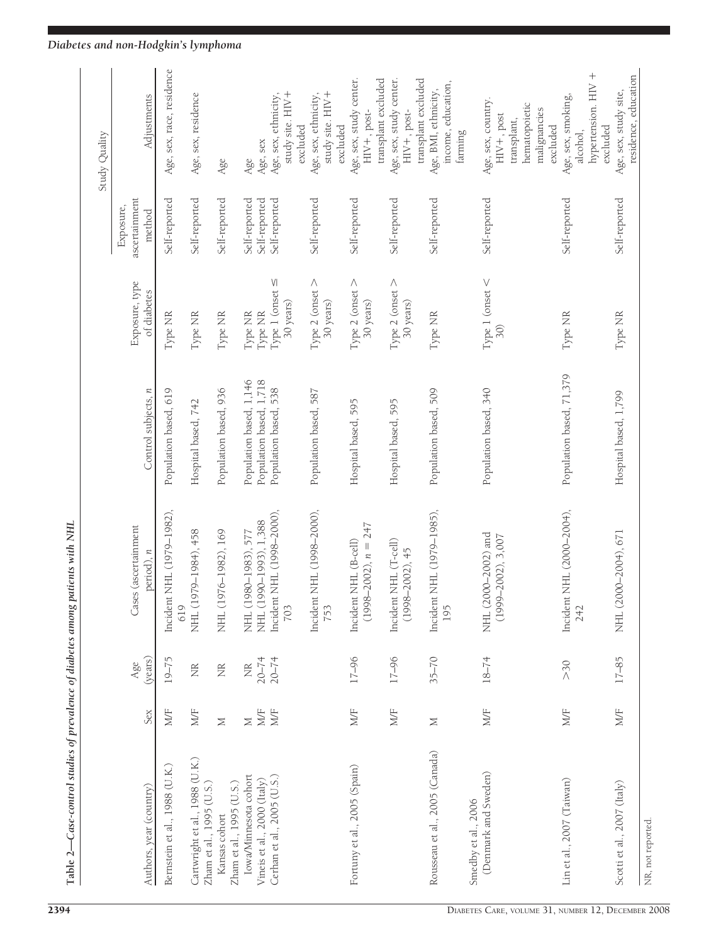|                                                                                    |                        |                                             |                                                                                        |                                                                             |                                                         |                                                 | Study Quality                                                                                              |
|------------------------------------------------------------------------------------|------------------------|---------------------------------------------|----------------------------------------------------------------------------------------|-----------------------------------------------------------------------------|---------------------------------------------------------|-------------------------------------------------|------------------------------------------------------------------------------------------------------------|
| Authors, year (country)                                                            | Sex                    | (years)<br>Age                              | ses (ascertainment<br>$period$ ), $n$<br>Ï                                             | Control subjects, n                                                         | Exposure, type<br>of diabetes                           | ascertainment<br>Exposure,<br>method            | Adjustments                                                                                                |
| Bernstein et al., 1988 (U.K.)                                                      | M/F                    | $19 - 75$                                   | Incident NHL (1979–1982),<br>619                                                       | Population based, 619                                                       | Type NR                                                 | Self-reported                                   | Age, sex, race, residence                                                                                  |
| Cartwright et al., 1988 (U.K.)<br>Zham et al., 1995 (U.S.)                         | M/F                    | É                                           | 1979-1984), 458<br>NHL(                                                                | Hospital based, 742                                                         | Type NR                                                 | Self-reported                                   | Age, sex, residence                                                                                        |
| Zham et al., 1995 (U.S.)<br>Kansas cohort                                          | $\geq$                 | É                                           | 1976-1982), 169<br>HH.                                                                 | Population based, 936                                                       | Type NR                                                 | Self-reported                                   | Age                                                                                                        |
| Cerhan et al., 2005 (U.S.)<br>Iowa/Minnesota cohort<br>Vineis et al., 2000 (Italy) | MÆ<br>MÆ<br>$\geq$     | $20 - 74$<br>$20 - 74$<br>$\widetilde{\Xi}$ | Incident NHL (1998–2000),<br>NHL (1990-1993), 1,388<br>1980-1983), 577<br>703<br>NHL ( | Population based, 1,146<br>Population based, 1,718<br>Population based, 538 | Type 1 (onset $\leq$<br>30 years)<br>Type NR<br>Type NR | Self-reported<br>Self-reported<br>Self-reported | study site. HIV+<br>Age, sex, ethnicity,<br>Age, sex<br>Age                                                |
|                                                                                    |                        |                                             | Incident NHL (1998–2000),<br>753                                                       | Population based, 587                                                       | Type 2 (onset $>$<br>30 years)                          | Self-reported                                   | study site. HIV+<br>Age, sex, ethnicity,<br>excluded<br>excluded                                           |
| Fortuny et al., 2005 (Spain)                                                       | MÆ                     | $17 - 96$                                   | $(1998-2002)$ , $n = 247$<br>Incident NHL (B-cell)                                     | Hospital based, 595                                                         | Type 2 (onset $>$<br>30 years)                          | Self-reported                                   | Age, sex, study center.<br>transplant excluded<br>$HIV +$ , post-                                          |
|                                                                                    | MF                     | $17 - 96$                                   | Incident NHL (T-cell)<br>$(1998 - 2002), 45$                                           | Hospital based, 595                                                         | Type 2 (onset $>$<br>30 years)                          | Self-reported                                   | Age, sex, study center.<br>$HIV +$ , post-                                                                 |
| Rousseau et al., 2005 (Canada)                                                     | $\geq$                 | $35 - 70$                                   | Incident NHL (1979–1985),<br>195                                                       | Population based, 509                                                       | Type NR                                                 | Self-reported                                   | transplant excluded<br>income, education,<br>Age, BMI, ethnicity,<br>farming                               |
| (Denmark and Sweden)<br>Smedby et al., 2006                                        | MÆ                     | $18 - 74$                                   | NHL (2000-2002) and<br>$(1999 - 2002), 3,007$                                          | Population based, 340                                                       | Type 1 (onset $\lt$<br>$\tilde{5}$                      | Self-reported                                   | Age, sex, country.<br>$HIV+$ , post<br>transplant,                                                         |
| Lin et al., 2007 (Taiwan)                                                          | $\mathbb{M}\mathbb{F}$ | >30                                         | Incident NHL (2000-2004),<br>242                                                       | Population based, 71,379                                                    | Type NR                                                 | Self-reported                                   | $^{+}$<br>hypertension. HIV<br>Age, sex, smoking,<br>hematopoietic<br>malignancies<br>excluded<br>alcohol, |
| Scotti et al., 2007 (Italy)                                                        | $\mathbb{W}\mathbb{F}$ | $17 - 85$                                   | 2000-2004), 671<br>NHL (                                                               | Hospital based, 1,799                                                       | Type NR                                                 | Self-reported                                   | residence, education<br>Age, sex, study site,<br>excluded                                                  |
| NR, not reported.                                                                  |                        |                                             |                                                                                        |                                                                             |                                                         |                                                 |                                                                                                            |

# *Diabetes and non-Hodgkin's lymphoma*

Table 2—Case-control studies of prevalence of diabetes among patients with NHL

Table 2-Case-control studies of prevalence of diabetes among patients with NHL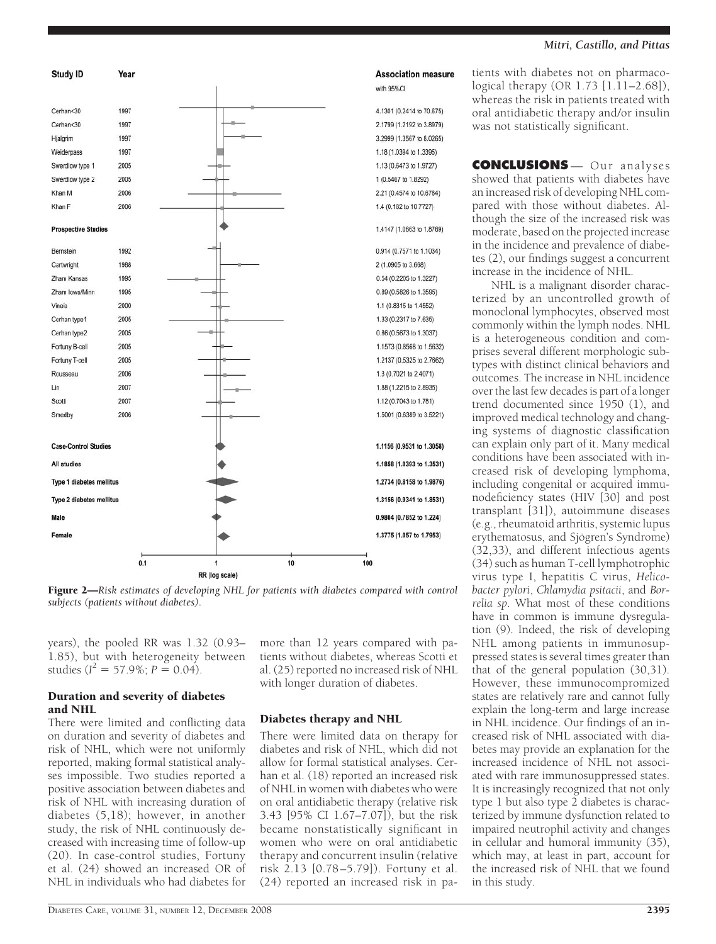

#### *Mitri, Castillo, and Pittas*

tients with diabetes not on pharmacological therapy (OR 1.73 [1.11–2.68]), whereas the risk in patients treated with oral antidiabetic therapy and/or insulin was not statistically significant.

**CONCLUSIONS** — Our analyses showed that patients with diabetes have an increased risk of developing NHL compared with those without diabetes. Although the size of the increased risk was moderate, based on the projected increase in the incidence and prevalence of diabetes (2), our findings suggest a concurrent increase in the incidence of NHL.

NHL is a malignant disorder characterized by an uncontrolled growth of monoclonal lymphocytes, observed most commonly within the lymph nodes. NHL is a heterogeneous condition and comprises several different morphologic subtypes with distinct clinical behaviors and outcomes. The increase in NHL incidence over the last few decades is part of a longer trend documented since 1950 (1), and improved medical technology and changing systems of diagnostic classification can explain only part of it. Many medical conditions have been associated with increased risk of developing lymphoma, including congenital or acquired immunodeficiency states (HIV [30] and post transplant [31]), autoimmune diseases (e.g., rheumatoid arthritis, systemic lupus erythematosus, and Sjögren's Syndrome) (32,33), and different infectious agents (34) such as human T-cell lymphotrophic virus type I, hepatitis C virus, *Helicobacter pylori*, *Chlamydia psitacii*, and *Borrelia sp*. What most of these conditions have in common is immune dysregulation (9). Indeed, the risk of developing NHL among patients in immunosuppressed states is several times greater than that of the general population (30,31). However, these immunocompromized states are relatively rare and cannot fully explain the long-term and large increase in NHL incidence. Our findings of an increased risk of NHL associated with diabetes may provide an explanation for the increased incidence of NHL not associated with rare immunosuppressed states. It is increasingly recognized that not only type 1 but also type 2 diabetes is characterized by immune dysfunction related to impaired neutrophil activity and changes in cellular and humoral immunity (35), which may, at least in part, account for the increased risk of NHL that we found in this study.

#### Figure 2—*Risk estimates of developing NHL for patients with diabetes compared with control subjects (patients without diabetes).*

years), the pooled RR was 1.32 (0.93– 1.85), but with heterogeneity between studies ( $I^2 = 57.9\%$ ;  $P = 0.04$ ).

## Duration and severity of diabetes and NHL

There were limited and conflicting data on duration and severity of diabetes and risk of NHL, which were not uniformly reported, making formal statistical analyses impossible. Two studies reported a positive association between diabetes and risk of NHL with increasing duration of diabetes (5,18); however, in another study, the risk of NHL continuously decreased with increasing time of follow-up (20). In case-control studies, Fortuny et al. (24) showed an increased OR of NHL in individuals who had diabetes for more than 12 years compared with patients without diabetes, whereas Scotti et al. (25) reported no increased risk of NHL with longer duration of diabetes.

# Diabetes therapy and NHL

There were limited data on therapy for diabetes and risk of NHL, which did not allow for formal statistical analyses. Cerhan et al. (18) reported an increased risk of NHL in women with diabetes who were on oral antidiabetic therapy (relative risk 3.43 [95% CI 1.67–7.07]), but the risk became nonstatistically significant in women who were on oral antidiabetic therapy and concurrent insulin (relative risk 2.13 [0.78–5.79]). Fortuny et al. (24) reported an increased risk in pa-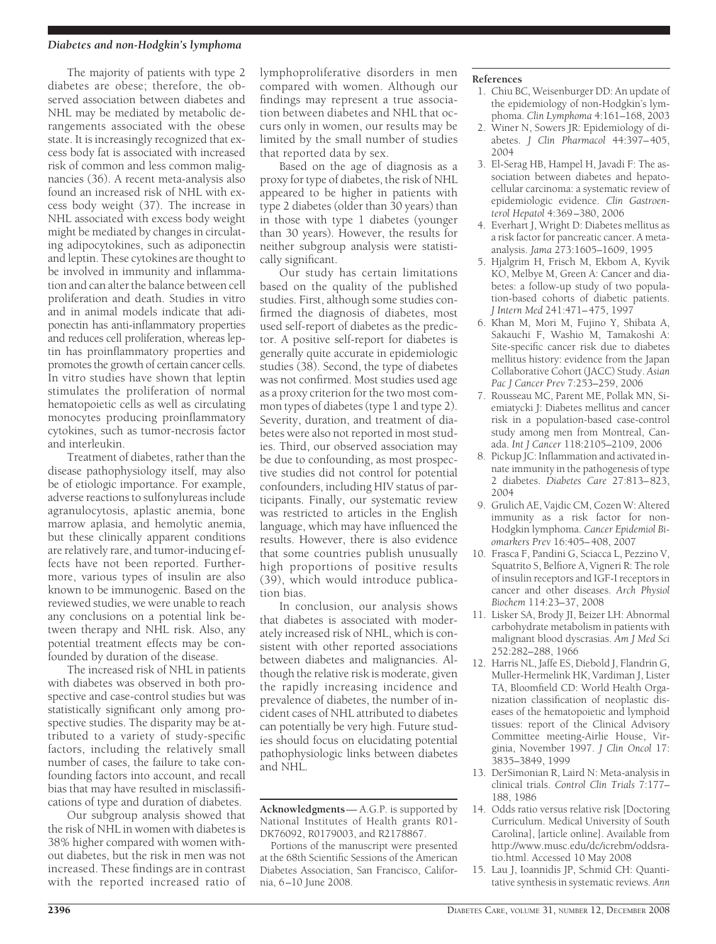#### *Diabetes and non-Hodgkin's lymphoma*

The majority of patients with type 2 diabetes are obese; therefore, the observed association between diabetes and NHL may be mediated by metabolic derangements associated with the obese state. It is increasingly recognized that excess body fat is associated with increased risk of common and less common malignancies (36). A recent meta-analysis also found an increased risk of NHL with excess body weight (37). The increase in NHL associated with excess body weight might be mediated by changes in circulating adipocytokines, such as adiponectin and leptin. These cytokines are thought to be involved in immunity and inflammation and can alter the balance between cell proliferation and death. Studies in vitro and in animal models indicate that adiponectin has anti-inflammatory properties and reduces cell proliferation, whereas leptin has proinflammatory properties and promotes the growth of certain cancer cells. In vitro studies have shown that leptin stimulates the proliferation of normal hematopoietic cells as well as circulating monocytes producing proinflammatory cytokines, such as tumor-necrosis factor and interleukin.

Treatment of diabetes, rather than the disease pathophysiology itself, may also be of etiologic importance. For example, adverse reactions to sulfonylureas include agranulocytosis, aplastic anemia, bone marrow aplasia, and hemolytic anemia, but these clinically apparent conditions are relatively rare, and tumor-inducing effects have not been reported. Furthermore, various types of insulin are also known to be immunogenic. Based on the reviewed studies, we were unable to reach any conclusions on a potential link between therapy and NHL risk. Also, any potential treatment effects may be confounded by duration of the disease.

The increased risk of NHL in patients with diabetes was observed in both prospective and case-control studies but was statistically significant only among prospective studies. The disparity may be attributed to a variety of study-specific factors, including the relatively small number of cases, the failure to take confounding factors into account, and recall bias that may have resulted in misclassifications of type and duration of diabetes.

Our subgroup analysis showed that the risk of NHL in women with diabetes is 38% higher compared with women without diabetes, but the risk in men was not increased. These findings are in contrast with the reported increased ratio of

lymphoproliferative disorders in men compared with women. Although our findings may represent a true association between diabetes and NHL that occurs only in women, our results may be limited by the small number of studies that reported data by sex.

Based on the age of diagnosis as a proxy for type of diabetes, the risk of NHL appeared to be higher in patients with type 2 diabetes (older than 30 years) than in those with type 1 diabetes (younger than 30 years). However, the results for neither subgroup analysis were statistically significant.

Our study has certain limitations based on the quality of the published studies. First, although some studies confirmed the diagnosis of diabetes, most used self-report of diabetes as the predictor. A positive self-report for diabetes is generally quite accurate in epidemiologic studies (38). Second, the type of diabetes was not confirmed. Most studies used age as a proxy criterion for the two most common types of diabetes (type 1 and type 2). Severity, duration, and treatment of diabetes were also not reported in most studies. Third, our observed association may be due to confounding, as most prospective studies did not control for potential confounders, including HIV status of participants. Finally, our systematic review was restricted to articles in the English language, which may have influenced the results. However, there is also evidence that some countries publish unusually high proportions of positive results (39), which would introduce publication bias.

In conclusion, our analysis shows that diabetes is associated with moderately increased risk of NHL, which is consistent with other reported associations between diabetes and malignancies. Although the relative risk is moderate, given the rapidly increasing incidence and prevalence of diabetes, the number of incident cases of NHL attributed to diabetes can potentially be very high. Future studies should focus on elucidating potential pathophysiologic links between diabetes and NHL.

**Acknowledgments**— A.G.P. is supported by National Institutes of Health grants R01- DK76092, R0179003, and R2178867.

Portions of the manuscript were presented at the 68th Scientific Sessions of the American Diabetes Association, San Francisco, California, 6–10 June 2008.

#### **References**

- 1. Chiu BC, Weisenburger DD: An update of the epidemiology of non-Hodgkin's lymphoma. *Clin Lymphoma* 4:161–168, 2003
- 2. Winer N, Sowers JR: Epidemiology of diabetes. *J Clin Pharmacol* 44:397–405, 2004
- 3. El-Serag HB, Hampel H, Javadi F: The association between diabetes and hepatocellular carcinoma: a systematic review of epidemiologic evidence. *Clin Gastroenterol Hepatol* 4:369–380, 2006
- 4. Everhart J, Wright D: Diabetes mellitus as a risk factor for pancreatic cancer. A metaanalysis. *Jama* 273:1605–1609, 1995
- 5. Hjalgrim H, Frisch M, Ekbom A, Kyvik KO, Melbye M, Green A: Cancer and diabetes: a follow-up study of two population-based cohorts of diabetic patients. *J Intern Med* 241:471–475, 1997
- 6. Khan M, Mori M, Fujino Y, Shibata A, Sakauchi F, Washio M, Tamakoshi A: Site-specific cancer risk due to diabetes mellitus history: evidence from the Japan Collaborative Cohort (JACC) Study. *Asian Pac J Cancer Prev* 7:253–259, 2006
- 7. Rousseau MC, Parent ME, Pollak MN, Siemiatycki J: Diabetes mellitus and cancer risk in a population-based case-control study among men from Montreal, Canada. *Int J Cancer* 118:2105–2109, 2006
- 8. Pickup JC: Inflammation and activated innate immunity in the pathogenesis of type 2 diabetes. *Diabetes Care* 27:813–823, 2004
- 9. Grulich AE, Vajdic CM, Cozen W: Altered immunity as a risk factor for non-Hodgkin lymphoma. *Cancer Epidemiol Biomarkers Prev* 16:405–408, 2007
- 10. Frasca F, Pandini G, Sciacca L, Pezzino V, Squatrito S, Belfiore A, Vigneri R: The role of insulin receptors and IGF-I receptors in cancer and other diseases. *Arch Physiol Biochem* 114:23–37, 2008
- 11. Lisker SA, Brody JI, Beizer LH: Abnormal carbohydrate metabolism in patients with malignant blood dyscrasias. *Am J Med Sci* 252:282–288, 1966
- 12. Harris NL, Jaffe ES, Diebold J, Flandrin G, Muller-Hermelink HK, Vardiman J, Lister TA, Bloomfield CD: World Health Organization classification of neoplastic diseases of the hematopoietic and lymphoid tissues: report of the Clinical Advisory Committee meeting-Airlie House, Virginia, November 1997. *J Clin Oncol* 17: 3835–3849, 1999
- 13. DerSimonian R, Laird N: Meta-analysis in clinical trials. *Control Clin Trials* 7:177– 188, 1986
- 14. Odds ratio versus relative risk [Doctoring Curriculum. Medical University of South Carolina], [article online]. Available from http://www.musc.edu/dc/icrebm/oddsratio.html. Accessed 10 May 2008
- 15. Lau J, Ioannidis JP, Schmid CH: Quantitative synthesis in systematic reviews. *Ann*